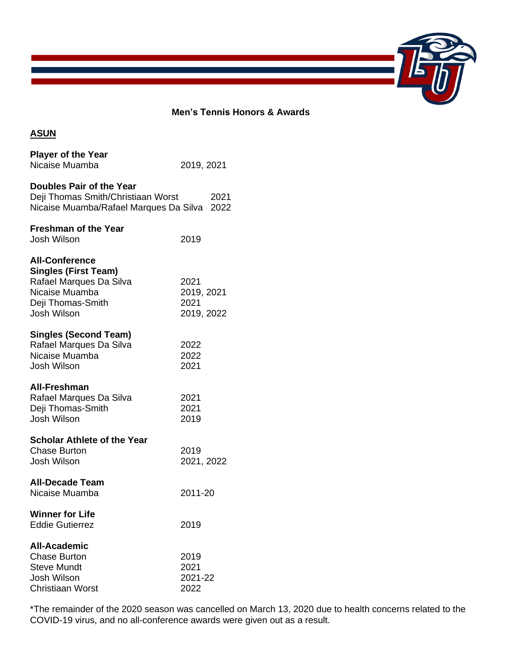

## **Men's Tennis Honors & Awards**

## **ASUN**

| <b>Player of the Year</b><br>Nicaise Muamba                                                                                           | 2019, 2021                               |
|---------------------------------------------------------------------------------------------------------------------------------------|------------------------------------------|
| Doubles Pair of the Year<br>Deji Thomas Smith/Christiaan Worst<br>Nicaise Muamba/Rafael Marques Da Silva                              | 2021<br>2022                             |
| <b>Freshman of the Year</b><br>Josh Wilson                                                                                            | 2019                                     |
| <b>All-Conference</b><br><b>Singles (First Team)</b><br>Rafael Marques Da Silva<br>Nicaise Muamba<br>Deji Thomas-Smith<br>Josh Wilson | 2021<br>2019, 2021<br>2021<br>2019, 2022 |
| <b>Singles (Second Team)</b><br>Rafael Marques Da Silva<br>Nicaise Muamba<br>Josh Wilson                                              | 2022<br>2022<br>2021                     |
| All-Freshman<br>Rafael Marques Da Silva<br>Deji Thomas-Smith<br>Josh Wilson                                                           | 2021<br>2021<br>2019                     |
| <b>Scholar Athlete of the Year</b><br><b>Chase Burton</b><br>Josh Wilson                                                              | 2019<br>2021, 2022                       |
| <b>All-Decade Team</b><br>Nicaise Muamba                                                                                              | 2011-20                                  |
| <b>Winner for Life</b><br><b>Eddie Gutierrez</b>                                                                                      | 2019                                     |
| <b>All-Academic</b><br><b>Chase Burton</b><br><b>Steve Mundt</b><br>Josh Wilson<br>Christiaan Worst                                   | 2019<br>2021<br>2021-22<br>2022          |

\*The remainder of the 2020 season was cancelled on March 13, 2020 due to health concerns related to the COVID-19 virus, and no all-conference awards were given out as a result.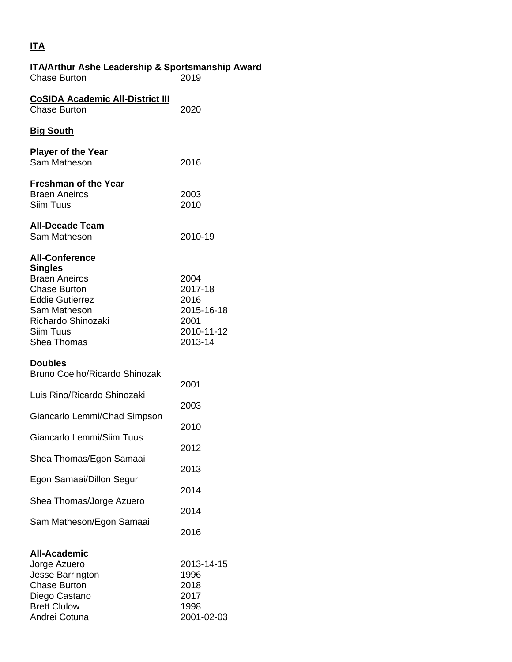## **ITA**

| <b>ITA/Arthur Ashe Leadership &amp; Sportsmanship Award</b><br><b>Chase Burton</b>                                                                                                        | 2019                                                                   |
|-------------------------------------------------------------------------------------------------------------------------------------------------------------------------------------------|------------------------------------------------------------------------|
| <b>CoSIDA Academic All-District III</b><br><b>Chase Burton</b>                                                                                                                            | 2020                                                                   |
| <b>Big South</b>                                                                                                                                                                          |                                                                        |
| <b>Player of the Year</b><br>Sam Matheson                                                                                                                                                 | 2016                                                                   |
| <b>Freshman of the Year</b><br><b>Braen Aneiros</b><br>Siim Tuus                                                                                                                          | 2003<br>2010                                                           |
| <b>All-Decade Team</b><br>Sam Matheson                                                                                                                                                    | 2010-19                                                                |
| <b>All-Conference</b><br><b>Singles</b><br><b>Braen Aneiros</b><br><b>Chase Burton</b><br><b>Eddie Gutierrez</b><br>Sam Matheson<br>Richardo Shinozaki<br>Siim Tuus<br><b>Shea Thomas</b> | 2004<br>2017-18<br>2016<br>2015-16-18<br>2001<br>2010-11-12<br>2013-14 |
| <b>Doubles</b><br>Bruno Coelho/Ricardo Shinozaki                                                                                                                                          | 2001                                                                   |
| Luis Rino/Ricardo Shinozaki                                                                                                                                                               | 2003                                                                   |
| Giancarlo Lemmi/Chad Simpson                                                                                                                                                              | 2010                                                                   |
| Giancarlo Lemmi/Siim Tuus                                                                                                                                                                 | 2012                                                                   |
| Shea Thomas/Egon Samaai                                                                                                                                                                   | 2013                                                                   |
| Egon Samaai/Dillon Segur                                                                                                                                                                  | 2014                                                                   |
| Shea Thomas/Jorge Azuero                                                                                                                                                                  | 2014                                                                   |
| Sam Matheson/Egon Samaai                                                                                                                                                                  | 2016                                                                   |
| <b>All-Academic</b><br>Jorge Azuero<br>Jesse Barrington<br><b>Chase Burton</b><br>Diego Castano<br><b>Brett Clulow</b><br>Andrei Cotuna                                                   | 2013-14-15<br>1996<br>2018<br>2017<br>1998<br>2001-02-03               |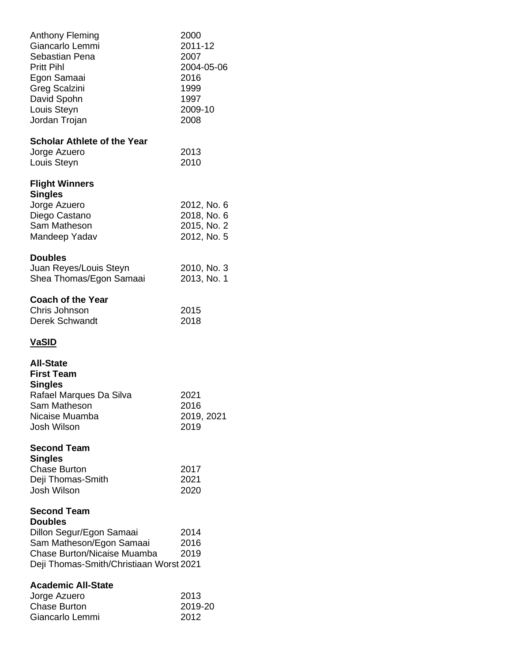| Anthony Fleming<br>Giancarlo Lemmi<br>Sebastian Pena<br><b>Pritt Pihl</b><br>Egon Samaai<br><b>Greg Scalzini</b><br>David Spohn<br>Louis Steyn<br>Jordan Trojan               | 2000<br>2011-12<br>2007<br>2004-05-06<br>2016<br>1999<br>1997<br>2009-10<br>2008 |
|-------------------------------------------------------------------------------------------------------------------------------------------------------------------------------|----------------------------------------------------------------------------------|
| <b>Scholar Athlete of the Year</b><br>Jorge Azuero<br>Louis Steyn                                                                                                             | 2013<br>2010                                                                     |
| <b>Flight Winners</b><br><b>Singles</b><br>Jorge Azuero<br>Diego Castano<br>Sam Matheson<br>Mandeep Yadav                                                                     | 2012, No. 6<br>2018, No. 6<br>2015, No. 2<br>2012, No. 5                         |
| <b>Doubles</b><br>Juan Reyes/Louis Steyn<br>Shea Thomas/Egon Samaai                                                                                                           | 2010, No. 3<br>2013, No. 1                                                       |
| <b>Coach of the Year</b><br>Chris Johnson<br><b>Derek Schwandt</b>                                                                                                            | 2015<br>2018                                                                     |
| <b>VaSID</b>                                                                                                                                                                  |                                                                                  |
| <b>All-State</b><br><b>First Team</b><br><b>Singles</b><br>Rafael Marques Da Silva<br>Sam Matheson<br>Nicaise Muamba<br><b>Josh Wilson</b>                                    | 2021<br>2016<br>2019, 2021<br>2019                                               |
| <b>Second Team</b><br><b>Singles</b><br><b>Chase Burton</b><br>Deji Thomas-Smith<br><b>Josh Wilson</b>                                                                        | 2017<br>2021<br>2020                                                             |
| <b>Second Team</b><br><b>Doubles</b><br>Dillon Segur/Egon Samaai<br>Sam Matheson/Egon Samaai<br><b>Chase Burton/Nicaise Muamba</b><br>Deji Thomas-Smith/Christiaan Worst 2021 | 2014<br>2016<br>2019                                                             |
| <b>Academic All-State</b><br>Jorge Azuero<br><b>Chase Burton</b><br>Giancarlo Lemmi                                                                                           | 2013<br>2019-20<br>2012                                                          |